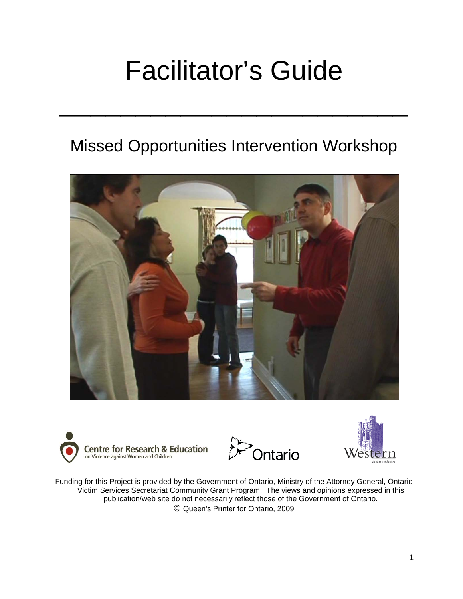# Facilitator's Guide

 $\mathcal{L}_\text{max}$  and  $\mathcal{L}_\text{max}$  are the set of  $\mathcal{L}_\text{max}$  and  $\mathcal{L}_\text{max}$  are the set of  $\mathcal{L}_\text{max}$ 

# Missed Opportunities Intervention Workshop









Funding for this Project is provided by the Government of Ontario, Ministry of the Attorney General, Ontario Victim Services Secretariat Community Grant Program. The views and opinions expressed in this publication/web site do not necessarily reflect those of the Government of Ontario. © Queen's Printer for Ontario, 2009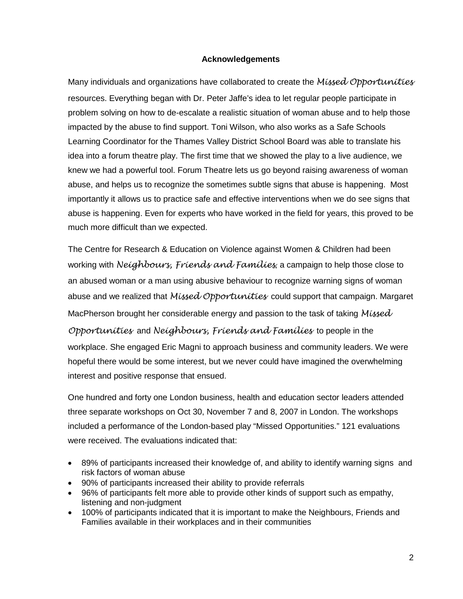#### **Acknowledgements**

Many individuals and organizations have collaborated to create the *Missed Opportunities* resources. Everything began with Dr. Peter Jaffe's idea to let regular people participate in problem solving on how to de-escalate a realistic situation of woman abuse and to help those impacted by the abuse to find support. Toni Wilson, who also works as a Safe Schools Learning Coordinator for the Thames Valley District School Board was able to translate his idea into a forum theatre play. The first time that we showed the play to a live audience, we knew we had a powerful tool. Forum Theatre lets us go beyond raising awareness of woman abuse, and helps us to recognize the sometimes subtle signs that abuse is happening. Most importantly it allows us to practice safe and effective interventions when we do see signs that abuse is happening. Even for experts who have worked in the field for years, this proved to be much more difficult than we expected.

The Centre for Research & Education on Violence against Women & Children had been working with *Neighbours, Friends and Families*, a campaign to help those close to an abused woman or a man using abusive behaviour to recognize warning signs of woman abuse and we realized that *Missed Opportunities* could support that campaign. Margaret MacPherson brought her considerable energy and passion to the task of taking *Missed Opportunities* and *Neighbours, Friends and Families* to people in the workplace. She engaged Eric Magni to approach business and community leaders. We were hopeful there would be some interest, but we never could have imagined the overwhelming interest and positive response that ensued.

One hundred and forty one London business, health and education sector leaders attended three separate workshops on Oct 30, November 7 and 8, 2007 in London. The workshops included a performance of the London-based play "Missed Opportunities." 121 evaluations were received. The evaluations indicated that:

- 89% of participants increased their knowledge of, and ability to identify warning signs and risk factors of woman abuse
- 90% of participants increased their ability to provide referrals
- 96% of participants felt more able to provide other kinds of support such as empathy, listening and non-judgment
- 100% of participants indicated that it is important to make the Neighbours, Friends and Families available in their workplaces and in their communities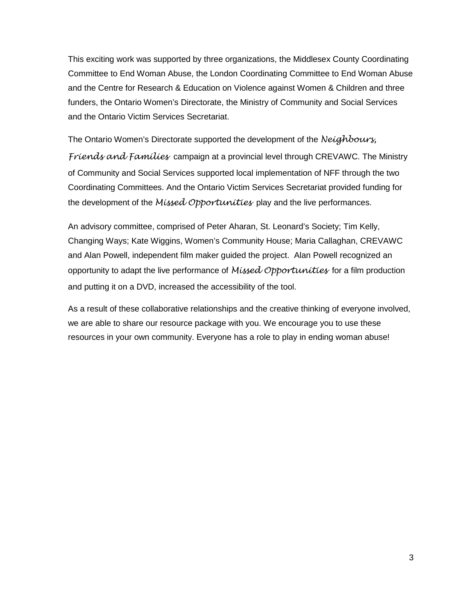This exciting work was supported by three organizations, the Middlesex County Coordinating Committee to End Woman Abuse, the London Coordinating Committee to End Woman Abuse and the Centre for Research & Education on Violence against Women & Children and three funders, the Ontario Women's Directorate, the Ministry of Community and Social Services and the Ontario Victim Services Secretariat.

The Ontario Women's Directorate supported the development of the *Neighbours,* 

*Friends and Families* campaign at a provincial level through CREVAWC. The Ministry of Community and Social Services supported local implementation of NFF through the two Coordinating Committees. And the Ontario Victim Services Secretariat provided funding for the development of the *Missed Opportunities* play and the live performances.

An advisory committee, comprised of Peter Aharan, St. Leonard's Society; Tim Kelly, Changing Ways; Kate Wiggins, Women's Community House; Maria Callaghan, CREVAWC and Alan Powell, independent film maker guided the project. Alan Powell recognized an opportunity to adapt the live performance of *Missed Opportunities* for a film production and putting it on a DVD, increased the accessibility of the tool.

As a result of these collaborative relationships and the creative thinking of everyone involved, we are able to share our resource package with you. We encourage you to use these resources in your own community. Everyone has a role to play in ending woman abuse!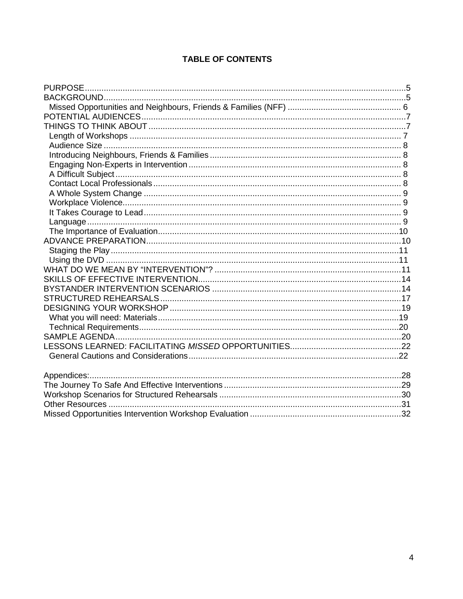#### **TABLE OF CONTENTS**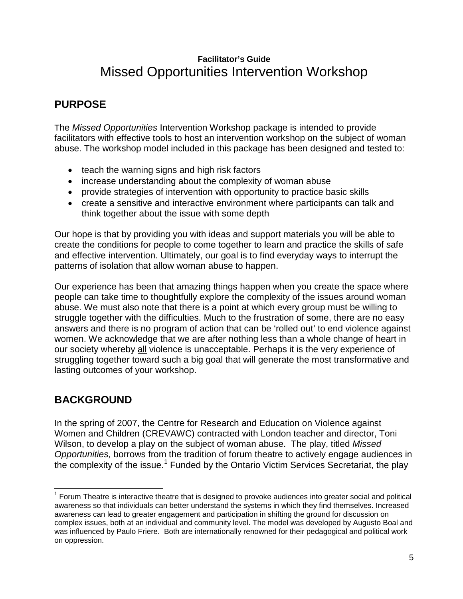# **Facilitator's Guide** Missed Opportunities Intervention Workshop

# <span id="page-4-0"></span>**PURPOSE**

The *Missed Opportunities* Intervention Workshop package is intended to provide facilitators with effective tools to host an intervention workshop on the subject of woman abuse. The workshop model included in this package has been designed and tested to:

- teach the warning signs and high risk factors
- increase understanding about the complexity of woman abuse
- provide strategies of intervention with opportunity to practice basic skills
- create a sensitive and interactive environment where participants can talk and think together about the issue with some depth

Our hope is that by providing you with ideas and support materials you will be able to create the conditions for people to come together to learn and practice the skills of safe and effective intervention. Ultimately, our goal is to find everyday ways to interrupt the patterns of isolation that allow woman abuse to happen.

Our experience has been that amazing things happen when you create the space where people can take time to thoughtfully explore the complexity of the issues around woman abuse. We must also note that there is a point at which every group must be willing to struggle together with the difficulties. Much to the frustration of some, there are no easy answers and there is no program of action that can be 'rolled out' to end violence against women. We acknowledge that we are after nothing less than a whole change of heart in our society whereby all violence is unacceptable. Perhaps it is the very experience of struggling together toward such a big goal that will generate the most transformative and lasting outcomes of your workshop.

# <span id="page-4-1"></span>**BACKGROUND**

In the spring of 2007, the Centre for Research and Education on Violence against Women and Children (CREVAWC) contracted with London teacher and director, Toni Wilson, to develop a play on the subject of woman abuse. The play, titled *Missed Opportunities,* borrows from the tradition of forum theatre to actively engage audiences in the complexity of the issue.<sup>[1](#page-4-2)</sup> Funded by the Ontario Victim Services Secretariat, the play

<span id="page-4-2"></span> $1$  Forum Theatre is interactive theatre that is designed to provoke audiences into greater social and political awareness so that individuals can better understand the systems in which they find themselves. Increased awareness can lead to greater engagement and participation in shifting the ground for discussion on complex issues, both at an individual and community level. The model was developed by Augusto Boal and was influenced by Paulo Friere. Both are internationally renowned for their pedagogical and political work on oppression.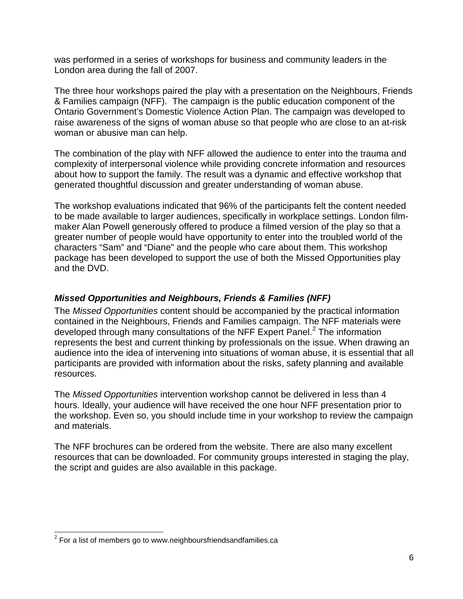was performed in a series of workshops for business and community leaders in the London area during the fall of 2007.

The three hour workshops paired the play with a presentation on the Neighbours, Friends & Families campaign (NFF). The campaign is the public education component of the Ontario Government's Domestic Violence Action Plan. The campaign was developed to raise awareness of the signs of woman abuse so that people who are close to an at-risk woman or abusive man can help.

The combination of the play with NFF allowed the audience to enter into the trauma and complexity of interpersonal violence while providing concrete information and resources about how to support the family. The result was a dynamic and effective workshop that generated thoughtful discussion and greater understanding of woman abuse.

The workshop evaluations indicated that 96% of the participants felt the content needed to be made available to larger audiences, specifically in workplace settings. London filmmaker Alan Powell generously offered to produce a filmed version of the play so that a greater number of people would have opportunity to enter into the troubled world of the characters "Sam" and "Diane" and the people who care about them. This workshop package has been developed to support the use of both the Missed Opportunities play and the DVD.

#### <span id="page-5-0"></span>*Missed Opportunities and Neighbours, Friends & Families (NFF)*

The *Missed Opportunities* content should be accompanied by the practical information contained in the Neighbours, Friends and Families campaign. The NFF materials were developed through many consultations of the NFF Expert Panel.<sup>[2](#page-5-1)</sup> The information represents the best and current thinking by professionals on the issue. When drawing an audience into the idea of intervening into situations of woman abuse, it is essential that all participants are provided with information about the risks, safety planning and available resources.

The *Missed Opportunities* intervention workshop cannot be delivered in less than 4 hours. Ideally, your audience will have received the one hour NFF presentation prior to the workshop. Even so, you should include time in your workshop to review the campaign and materials.

The NFF brochures can be ordered from the website. There are also many excellent resources that can be downloaded. For community groups interested in staging the play, the script and guides are also available in this package.

<span id="page-5-1"></span> $2$  For a list of members go to www.neighboursfriendsandfamilies.ca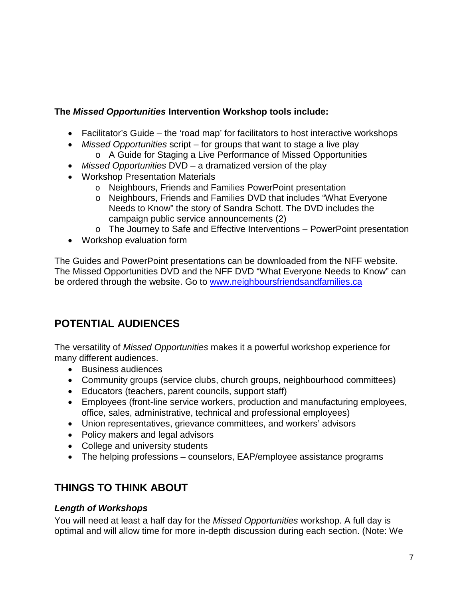#### **The** *Missed Opportunities* **Intervention Workshop tools include:**

- Facilitator's Guide the 'road map' for facilitators to host interactive workshops
- *Missed Opportunities* script for groups that want to stage a live play
	- o A Guide for Staging a Live Performance of Missed Opportunities
- *Missed Opportunities* DVD a dramatized version of the play
- Workshop Presentation Materials
	- o Neighbours, Friends and Families PowerPoint presentation
	- o Neighbours, Friends and Families DVD that includes "What Everyone Needs to Know" the story of Sandra Schott. The DVD includes the campaign public service announcements (2)
	- o The Journey to Safe and Effective Interventions PowerPoint presentation
- Workshop evaluation form

The Guides and PowerPoint presentations can be downloaded from the NFF website. The Missed Opportunities DVD and the NFF DVD "What Everyone Needs to Know" can be ordered through the website. Go to [www.neighboursfriendsandfamilies.ca](http://www.neighboursfriendsandfamilies.ca/)

# <span id="page-6-0"></span>**POTENTIAL AUDIENCES**

The versatility of *Missed Opportunities* makes it a powerful workshop experience for many different audiences.

- Business audiences
- Community groups (service clubs, church groups, neighbourhood committees)
- Educators (teachers, parent councils, support staff)
- Employees (front-line service workers, production and manufacturing employees, office, sales, administrative, technical and professional employees)
- Union representatives, grievance committees, and workers' advisors
- Policy makers and legal advisors
- College and university students
- The helping professions counselors, EAP/employee assistance programs

# <span id="page-6-1"></span>**THINGS TO THINK ABOUT**

#### <span id="page-6-2"></span>*Length of Workshops*

You will need at least a half day for the *Missed Opportunities* workshop. A full day is optimal and will allow time for more in-depth discussion during each section. (Note: We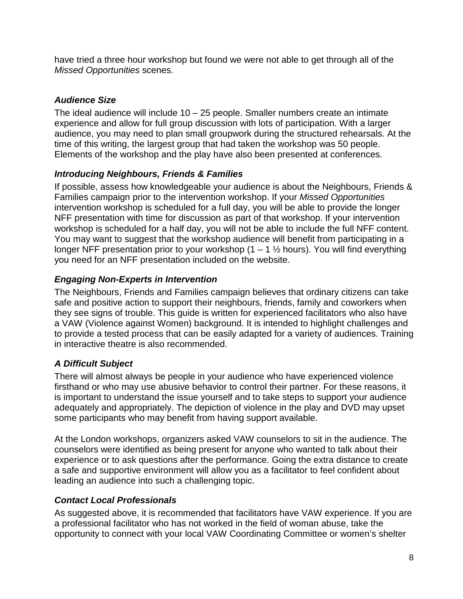have tried a three hour workshop but found we were not able to get through all of the *Missed Opportunities* scenes.

#### <span id="page-7-0"></span>*Audience Size*

The ideal audience will include 10 – 25 people. Smaller numbers create an intimate experience and allow for full group discussion with lots of participation. With a larger audience, you may need to plan small groupwork during the structured rehearsals. At the time of this writing, the largest group that had taken the workshop was 50 people. Elements of the workshop and the play have also been presented at conferences.

#### <span id="page-7-1"></span>*Introducing Neighbours, Friends & Families*

If possible, assess how knowledgeable your audience is about the Neighbours, Friends & Families campaign prior to the intervention workshop. If your *Missed Opportunities* intervention workshop is scheduled for a full day, you will be able to provide the longer NFF presentation with time for discussion as part of that workshop. If your intervention workshop is scheduled for a half day, you will not be able to include the full NFF content. You may want to suggest that the workshop audience will benefit from participating in a longer NFF presentation prior to your workshop  $(1 - 1 \frac{1}{2})$  hours). You will find everything you need for an NFF presentation included on the website.

#### <span id="page-7-2"></span>*Engaging Non-Experts in Intervention*

The Neighbours, Friends and Families campaign believes that ordinary citizens can take safe and positive action to support their neighbours, friends, family and coworkers when they see signs of trouble. This guide is written for experienced facilitators who also have a VAW (Violence against Women) background. It is intended to highlight challenges and to provide a tested process that can be easily adapted for a variety of audiences. Training in interactive theatre is also recommended.

#### <span id="page-7-3"></span>*A Difficult Subject*

There will almost always be people in your audience who have experienced violence firsthand or who may use abusive behavior to control their partner. For these reasons, it is important to understand the issue yourself and to take steps to support your audience adequately and appropriately. The depiction of violence in the play and DVD may upset some participants who may benefit from having support available.

At the London workshops, organizers asked VAW counselors to sit in the audience. The counselors were identified as being present for anyone who wanted to talk about their experience or to ask questions after the performance. Going the extra distance to create a safe and supportive environment will allow you as a facilitator to feel confident about leading an audience into such a challenging topic.

#### <span id="page-7-4"></span>*Contact Local Professionals*

As suggested above, it is recommended that facilitators have VAW experience. If you are a professional facilitator who has not worked in the field of woman abuse, take the opportunity to connect with your local VAW Coordinating Committee or women's shelter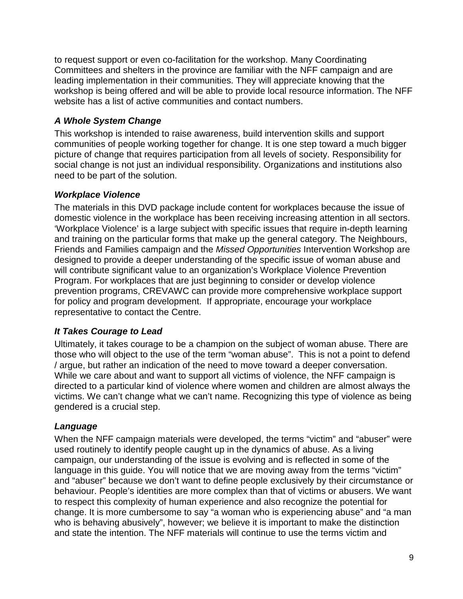to request support or even co-facilitation for the workshop. Many Coordinating Committees and shelters in the province are familiar with the NFF campaign and are leading implementation in their communities. They will appreciate knowing that the workshop is being offered and will be able to provide local resource information. The NFF website has a list of active communities and contact numbers.

#### <span id="page-8-0"></span>*A Whole System Change*

This workshop is intended to raise awareness, build intervention skills and support communities of people working together for change. It is one step toward a much bigger picture of change that requires participation from all levels of society. Responsibility for social change is not just an individual responsibility. Organizations and institutions also need to be part of the solution.

#### <span id="page-8-1"></span>*Workplace Violence*

The materials in this DVD package include content for workplaces because the issue of domestic violence in the workplace has been receiving increasing attention in all sectors. 'Workplace Violence' is a large subject with specific issues that require in-depth learning and training on the particular forms that make up the general category. The Neighbours, Friends and Families campaign and the *Missed Opportunities* Intervention Workshop are designed to provide a deeper understanding of the specific issue of woman abuse and will contribute significant value to an organization's Workplace Violence Prevention Program. For workplaces that are just beginning to consider or develop violence prevention programs, CREVAWC can provide more comprehensive workplace support for policy and program development. If appropriate, encourage your workplace representative to contact the Centre.

#### <span id="page-8-2"></span>*It Takes Courage to Lead*

Ultimately, it takes courage to be a champion on the subject of woman abuse. There are those who will object to the use of the term "woman abuse". This is not a point to defend / argue, but rather an indication of the need to move toward a deeper conversation. While we care about and want to support all victims of violence, the NFF campaign is directed to a particular kind of violence where women and children are almost always the victims. We can't change what we can't name. Recognizing this type of violence as being gendered is a crucial step.

#### <span id="page-8-3"></span>*Language*

When the NFF campaign materials were developed, the terms "victim" and "abuser" were used routinely to identify people caught up in the dynamics of abuse. As a living campaign, our understanding of the issue is evolving and is reflected in some of the language in this guide. You will notice that we are moving away from the terms "victim" and "abuser" because we don't want to define people exclusively by their circumstance or behaviour. People's identities are more complex than that of victims or abusers. We want to respect this complexity of human experience and also recognize the potential for change. It is more cumbersome to say "a woman who is experiencing abuse" and "a man who is behaving abusively", however; we believe it is important to make the distinction and state the intention. The NFF materials will continue to use the terms victim and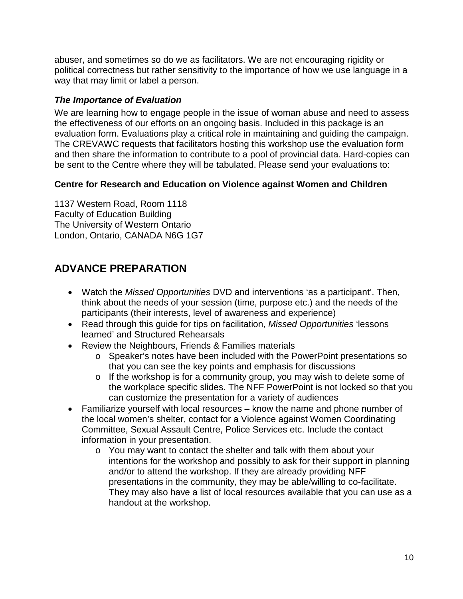abuser, and sometimes so do we as facilitators. We are not encouraging rigidity or political correctness but rather sensitivity to the importance of how we use language in a way that may limit or label a person.

#### <span id="page-9-0"></span>*The Importance of Evaluation*

We are learning how to engage people in the issue of woman abuse and need to assess the effectiveness of our efforts on an ongoing basis. Included in this package is an evaluation form. Evaluations play a critical role in maintaining and guiding the campaign. The CREVAWC requests that facilitators hosting this workshop use the evaluation form and then share the information to contribute to a pool of provincial data. Hard-copies can be sent to the Centre where they will be tabulated. Please send your evaluations to:

#### **Centre for Research and Education on Violence against Women and Children**

1137 Western Road, Room 1118 Faculty of Education Building The University of Western Ontario London, Ontario, CANADA N6G 1G7

# <span id="page-9-1"></span>**ADVANCE PREPARATION**

- Watch the *Missed Opportunities* DVD and interventions 'as a participant'. Then, think about the needs of your session (time, purpose etc.) and the needs of the participants (their interests, level of awareness and experience)
- Read through this guide for tips on facilitation, *Missed Opportunities* 'lessons learned' and Structured Rehearsals
- Review the Neighbours, Friends & Families materials
	- o Speaker's notes have been included with the PowerPoint presentations so that you can see the key points and emphasis for discussions
	- o If the workshop is for a community group, you may wish to delete some of the workplace specific slides. The NFF PowerPoint is not locked so that you can customize the presentation for a variety of audiences
- Familiarize yourself with local resources know the name and phone number of the local women's shelter, contact for a Violence against Women Coordinating Committee, Sexual Assault Centre, Police Services etc. Include the contact information in your presentation.
	- o You may want to contact the shelter and talk with them about your intentions for the workshop and possibly to ask for their support in planning and/or to attend the workshop. If they are already providing NFF presentations in the community, they may be able/willing to co-facilitate. They may also have a list of local resources available that you can use as a handout at the workshop.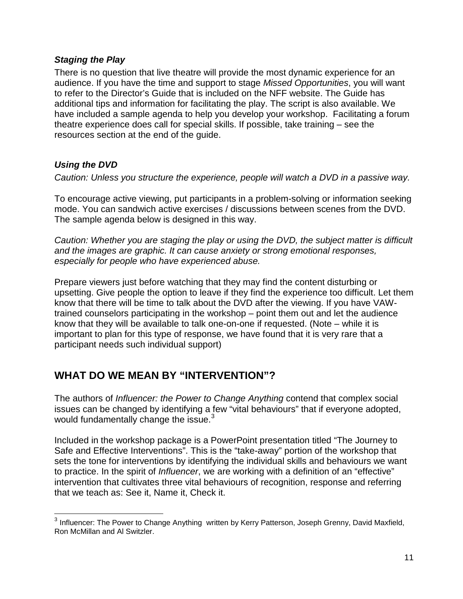#### <span id="page-10-0"></span>*Staging the Play*

There is no question that live theatre will provide the most dynamic experience for an audience. If you have the time and support to stage *Missed Opportunities*, you will want to refer to the Director's Guide that is included on the NFF website. The Guide has additional tips and information for facilitating the play. The script is also available. We have included a sample agenda to help you develop your workshop. Facilitating a forum theatre experience does call for special skills. If possible, take training – see the resources section at the end of the guide.

#### <span id="page-10-1"></span>*Using the DVD*

*Caution: Unless you structure the experience, people will watch a DVD in a passive way.*

To encourage active viewing, put participants in a problem-solving or information seeking mode. You can sandwich active exercises / discussions between scenes from the DVD. The sample agenda below is designed in this way.

*Caution: Whether you are staging the play or using the DVD, the subject matter is difficult and the images are graphic. It can cause anxiety or strong emotional responses, especially for people who have experienced abuse.*

Prepare viewers just before watching that they may find the content disturbing or upsetting. Give people the option to leave if they find the experience too difficult. Let them know that there will be time to talk about the DVD after the viewing. If you have VAWtrained counselors participating in the workshop – point them out and let the audience know that they will be available to talk one-on-one if requested. (Note – while it is important to plan for this type of response, we have found that it is very rare that a participant needs such individual support)

# <span id="page-10-2"></span>**WHAT DO WE MEAN BY "INTERVENTION"?**

The authors of *Influencer: the Power to Change Anything* contend that complex social issues can be changed by identifying a few "vital behaviours" that if everyone adopted, would fundamentally change the issue. $3$ 

Included in the workshop package is a PowerPoint presentation titled "The Journey to Safe and Effective Interventions". This is the "take-away" portion of the workshop that sets the tone for interventions by identifying the individual skills and behaviours we want to practice. In the spirit of *Influencer*, we are working with a definition of an "effective" intervention that cultivates three vital behaviours of recognition, response and referring that we teach as: See it, Name it, Check it.

<span id="page-10-3"></span><sup>&</sup>lt;sup>3</sup> Influencer: The Power to Change Anything written by Kerry Patterson, Joseph Grenny, David Maxfield, Ron McMillan and Al Switzler.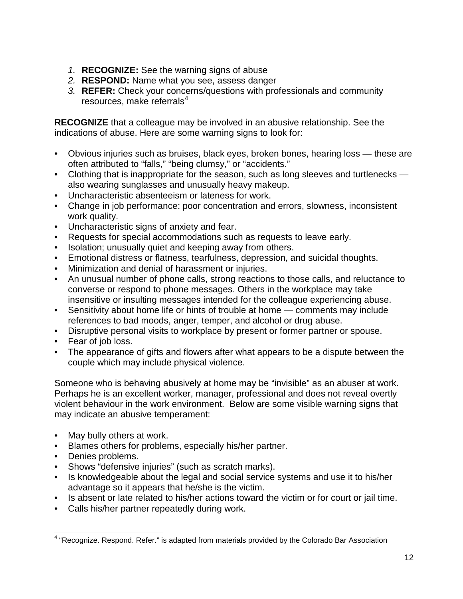- *1.* **RECOGNIZE:** See the warning signs of abuse
- *2.* **RESPOND:** Name what you see, assess danger
- *3.* **REFER:** Check your concerns/questions with professionals and community resources, make referrals $4$

**RECOGNIZE** that a colleague may be involved in an abusive relationship. See the indications of abuse. Here are some warning signs to look for:

- Obvious injuries such as bruises, black eyes, broken bones, hearing loss these are often attributed to "falls," "being clumsy," or "accidents."
- Clothing that is inappropriate for the season, such as long sleeves and turtlenecks also wearing sunglasses and unusually heavy makeup.
- Uncharacteristic absenteeism or lateness for work.
- Change in job performance: poor concentration and errors, slowness, inconsistent work quality.
- Uncharacteristic signs of anxiety and fear.
- Requests for special accommodations such as requests to leave early.
- Isolation; unusually quiet and keeping away from others.
- Emotional distress or flatness, tearfulness, depression, and suicidal thoughts.
- Minimization and denial of harassment or injuries.
- An unusual number of phone calls, strong reactions to those calls, and reluctance to converse or respond to phone messages. Others in the workplace may take insensitive or insulting messages intended for the colleague experiencing abuse.
- Sensitivity about home life or hints of trouble at home comments may include references to bad moods, anger, temper, and alcohol or drug abuse.
- Disruptive personal visits to workplace by present or former partner or spouse.
- Fear of job loss.
- The appearance of gifts and flowers after what appears to be a dispute between the couple which may include physical violence.

Someone who is behaving abusively at home may be "invisible" as an abuser at work. Perhaps he is an excellent worker, manager, professional and does not reveal overtly violent behaviour in the work environment. Below are some visible warning signs that may indicate an abusive temperament:

- May bully others at work.
- Blames others for problems, especially his/her partner.
- Denies problems.
- Shows "defensive injuries" (such as scratch marks).
- Is knowledgeable about the legal and social service systems and use it to his/her advantage so it appears that he/she is the victim.
- Is absent or late related to his/her actions toward the victim or for court or jail time.
- Calls his/her partner repeatedly during work.

<span id="page-11-0"></span> <sup>4</sup> "Recognize. Respond. Refer." is adapted from materials provided by the Colorado Bar Association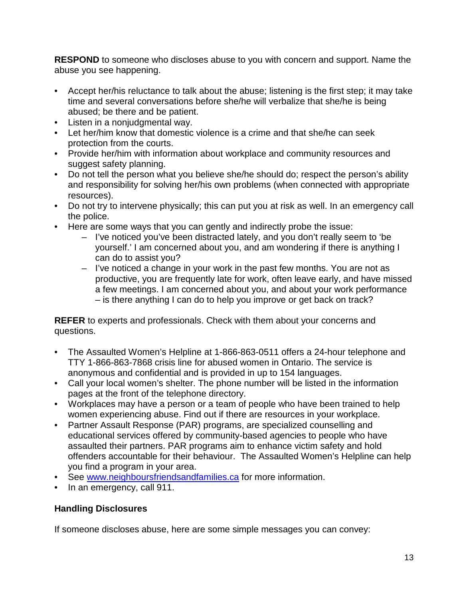**RESPOND** to someone who discloses abuse to you with concern and support. Name the abuse you see happening.

- Accept her/his reluctance to talk about the abuse; listening is the first step; it may take time and several conversations before she/he will verbalize that she/he is being abused; be there and be patient.
- Listen in a nonjudgmental way.
- Let her/him know that domestic violence is a crime and that she/he can seek protection from the courts.
- Provide her/him with information about workplace and community resources and suggest safety planning.
- Do not tell the person what you believe she/he should do; respect the person's ability and responsibility for solving her/his own problems (when connected with appropriate resources).
- Do not try to intervene physically; this can put you at risk as well. In an emergency call the police.
- Here are some ways that you can gently and indirectly probe the issue:
	- I've noticed you've been distracted lately, and you don't really seem to 'be yourself.' I am concerned about you, and am wondering if there is anything I can do to assist you?
	- I've noticed a change in your work in the past few months. You are not as productive, you are frequently late for work, often leave early, and have missed a few meetings. I am concerned about you, and about your work performance – is there anything I can do to help you improve or get back on track?

**REFER** to experts and professionals. Check with them about your concerns and questions.

- The Assaulted Women's Helpline at 1-866-863-0511 offers a 24-hour telephone and TTY 1-866-863-7868 crisis line for abused women in Ontario. The service is anonymous and confidential and is provided in up to 154 languages.
- Call your local women's shelter. The phone number will be listed in the information pages at the front of the telephone directory.
- Workplaces may have a person or a team of people who have been trained to help women experiencing abuse. Find out if there are resources in your workplace.
- Partner Assault Response (PAR) programs, are specialized counselling and educational services offered by community-based agencies to people who have assaulted their partners. PAR programs aim to enhance victim safety and hold offenders accountable for their behaviour. The Assaulted Women's Helpline can help you find a program in your area.
- See [www.neighboursfriendsandfamilies.ca](http://www.neighboursfriendsandfamilies.ca/) for more information.
- In an emergency, call 911.

#### **Handling Disclosures**

If someone discloses abuse, here are some simple messages you can convey: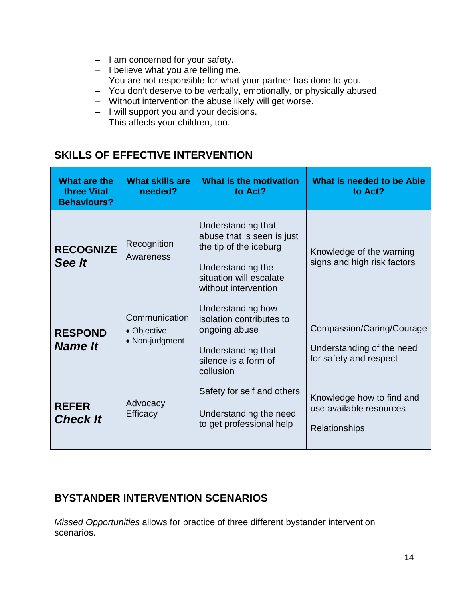- I am concerned for your safety.
- I believe what you are telling me.
- You are not responsible for what your partner has done to you.
- You don't deserve to be verbally, emotionally, or physically abused.
- Without intervention the abuse likely will get worse.
- I will support you and your decisions.
- This affects your children, too.

#### <span id="page-13-0"></span>**SKILLS OF EFFECTIVE INTERVENTION**

| What are the<br>three Vital<br><b>Behaviours?</b> | <b>What skills are</b><br>needed?              | What is the motivation<br>to Act?                                                                                                                  | What is needed to be Able<br>to Act?                                             |
|---------------------------------------------------|------------------------------------------------|----------------------------------------------------------------------------------------------------------------------------------------------------|----------------------------------------------------------------------------------|
| <b>RECOGNIZE</b><br>See It                        | Recognition<br>Awareness                       | Understanding that<br>abuse that is seen is just<br>the tip of the iceburg<br>Understanding the<br>situation will escalate<br>without intervention | Knowledge of the warning<br>signs and high risk factors                          |
| <b>RESPOND</b><br><b>Name It</b>                  | Communication<br>• Objective<br>• Non-judgment | Understanding how<br>isolation contributes to<br>ongoing abuse<br>Understanding that<br>silence is a form of<br>collusion                          | Compassion/Caring/Courage<br>Understanding of the need<br>for safety and respect |
| <b>REFER</b><br><b>Check It</b>                   | Advocacy<br><b>Efficacy</b>                    | Safety for self and others<br>Understanding the need<br>to get professional help                                                                   | Knowledge how to find and<br>use available resources<br>Relationships            |

# <span id="page-13-1"></span>**BYSTANDER INTERVENTION SCENARIOS**

*Missed Opportunities* allows for practice of three different bystander intervention scenarios.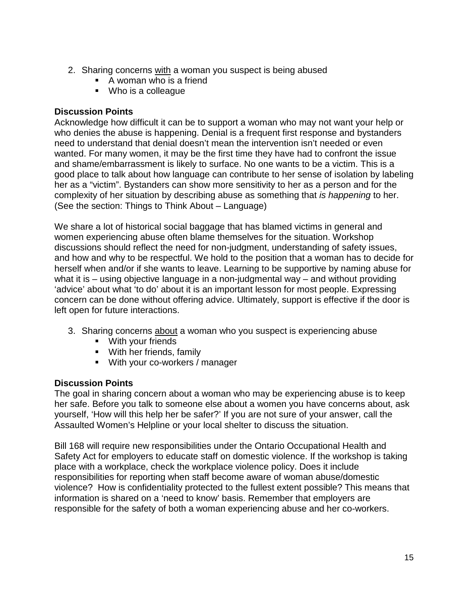- 2. Sharing concerns with a woman you suspect is being abused
	- A woman who is a friend
	- Who is a colleague

#### **Discussion Points**

Acknowledge how difficult it can be to support a woman who may not want your help or who denies the abuse is happening. Denial is a frequent first response and bystanders need to understand that denial doesn't mean the intervention isn't needed or even wanted. For many women, it may be the first time they have had to confront the issue and shame/embarrassment is likely to surface. No one wants to be a victim. This is a good place to talk about how language can contribute to her sense of isolation by labeling her as a "victim". Bystanders can show more sensitivity to her as a person and for the complexity of her situation by describing abuse as something that *is happening* to her. (See the section: Things to Think About – Language)

We share a lot of historical social baggage that has blamed victims in general and women experiencing abuse often blame themselves for the situation. Workshop discussions should reflect the need for non-judgment, understanding of safety issues, and how and why to be respectful. We hold to the position that a woman has to decide for herself when and/or if she wants to leave. Learning to be supportive by naming abuse for what it is – using objective language in a non-judgmental way – and without providing 'advice' about what 'to do' about it is an important lesson for most people. Expressing concern can be done without offering advice. Ultimately, support is effective if the door is left open for future interactions.

- 3. Sharing concerns about a woman who you suspect is experiencing abuse
	- **With your friends**
	- **With her friends, family**
	- **With your co-workers / manager**

#### **Discussion Points**

The goal in sharing concern about a woman who may be experiencing abuse is to keep her safe. Before you talk to someone else about a women you have concerns about, ask yourself, 'How will this help her be safer?' If you are not sure of your answer, call the Assaulted Women's Helpline or your local shelter to discuss the situation.

Bill 168 will require new responsibilities under the Ontario Occupational Health and Safety Act for employers to educate staff on domestic violence. If the workshop is taking place with a workplace, check the workplace violence policy. Does it include responsibilities for reporting when staff become aware of woman abuse/domestic violence? How is confidentiality protected to the fullest extent possible? This means that information is shared on a 'need to know' basis. Remember that employers are responsible for the safety of both a woman experiencing abuse and her co-workers.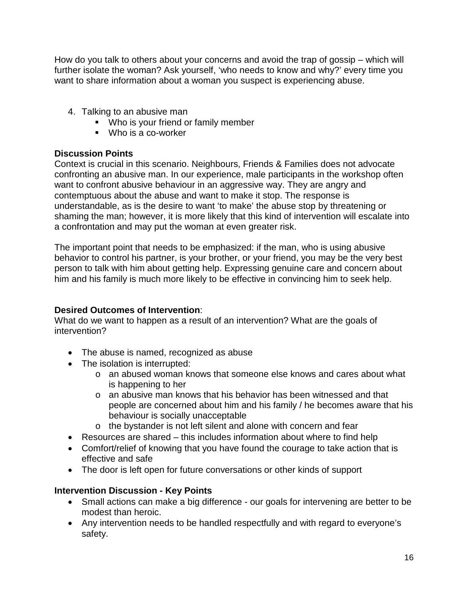How do you talk to others about your concerns and avoid the trap of gossip – which will further isolate the woman? Ask yourself, 'who needs to know and why?' every time you want to share information about a woman you suspect is experiencing abuse.

- 4. Talking to an abusive man
	- **Who is your friend or family member**
	- Who is a co-worker

#### **Discussion Points**

Context is crucial in this scenario. Neighbours, Friends & Families does not advocate confronting an abusive man. In our experience, male participants in the workshop often want to confront abusive behaviour in an aggressive way. They are angry and contemptuous about the abuse and want to make it stop. The response is understandable, as is the desire to want 'to make' the abuse stop by threatening or shaming the man; however, it is more likely that this kind of intervention will escalate into a confrontation and may put the woman at even greater risk.

The important point that needs to be emphasized: if the man, who is using abusive behavior to control his partner, is your brother, or your friend, you may be the very best person to talk with him about getting help. Expressing genuine care and concern about him and his family is much more likely to be effective in convincing him to seek help.

#### **Desired Outcomes of Intervention**:

What do we want to happen as a result of an intervention? What are the goals of intervention?

- The abuse is named, recognized as abuse
- The isolation is interrupted:
	- o an abused woman knows that someone else knows and cares about what is happening to her
	- o an abusive man knows that his behavior has been witnessed and that people are concerned about him and his family / he becomes aware that his behaviour is socially unacceptable
	- o the bystander is not left silent and alone with concern and fear
- Resources are shared this includes information about where to find help
- Comfort/relief of knowing that you have found the courage to take action that is effective and safe
- The door is left open for future conversations or other kinds of support

#### **Intervention Discussion - Key Points**

- Small actions can make a big difference our goals for intervening are better to be modest than heroic.
- Any intervention needs to be handled respectfully and with regard to everyone's safety.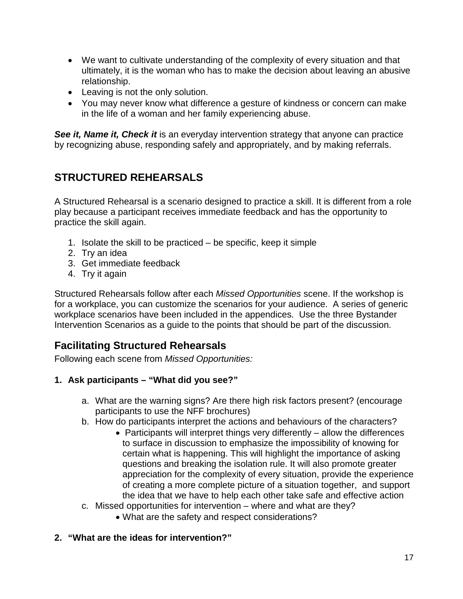- We want to cultivate understanding of the complexity of every situation and that ultimately, it is the woman who has to make the decision about leaving an abusive relationship.
- Leaving is not the only solution.
- You may never know what difference a gesture of kindness or concern can make in the life of a woman and her family experiencing abuse.

*See it, Name it, Check it* is an everyday intervention strategy that anyone can practice by recognizing abuse, responding safely and appropriately, and by making referrals.

# <span id="page-16-0"></span>**STRUCTURED REHEARSALS**

A Structured Rehearsal is a scenario designed to practice a skill. It is different from a role play because a participant receives immediate feedback and has the opportunity to practice the skill again.

- 1. Isolate the skill to be practiced be specific, keep it simple
- 2. Try an idea
- 3. Get immediate feedback
- 4. Try it again

Structured Rehearsals follow after each *Missed Opportunities* scene. If the workshop is for a workplace, you can customize the scenarios for your audience. A series of generic workplace scenarios have been included in the appendices. Use the three Bystander Intervention Scenarios as a guide to the points that should be part of the discussion.

# **Facilitating Structured Rehearsals**

Following each scene from *Missed Opportunities:*

- **1. Ask participants – "What did you see?"**
	- a. What are the warning signs? Are there high risk factors present? (encourage participants to use the NFF brochures)
	- b. How do participants interpret the actions and behaviours of the characters?
		- Participants will interpret things very differently allow the differences to surface in discussion to emphasize the impossibility of knowing for certain what is happening. This will highlight the importance of asking questions and breaking the isolation rule. It will also promote greater appreciation for the complexity of every situation, provide the experience of creating a more complete picture of a situation together, and support the idea that we have to help each other take safe and effective action
	- c. Missed opportunities for intervention where and what are they?
		- What are the safety and respect considerations?

#### **2. "What are the ideas for intervention?"**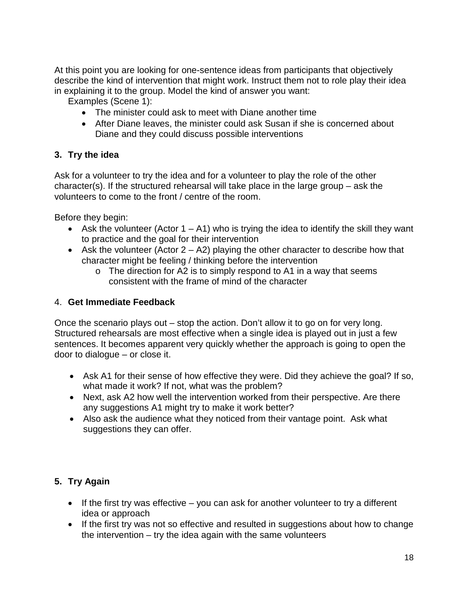At this point you are looking for one-sentence ideas from participants that objectively describe the kind of intervention that might work. Instruct them not to role play their idea in explaining it to the group. Model the kind of answer you want:

Examples (Scene 1):

- The minister could ask to meet with Diane another time
- After Diane leaves, the minister could ask Susan if she is concerned about Diane and they could discuss possible interventions

#### **3. Try the idea**

Ask for a volunteer to try the idea and for a volunteer to play the role of the other character(s). If the structured rehearsal will take place in the large group – ask the volunteers to come to the front / centre of the room.

Before they begin:

- Ask the volunteer (Actor  $1 A1$ ) who is trying the idea to identify the skill they want to practice and the goal for their intervention
- Ask the volunteer (Actor  $2 A2$ ) playing the other character to describe how that character might be feeling / thinking before the intervention
	- o The direction for A2 is to simply respond to A1 in a way that seems consistent with the frame of mind of the character

#### 4. **Get Immediate Feedback**

Once the scenario plays out – stop the action. Don't allow it to go on for very long. Structured rehearsals are most effective when a single idea is played out in just a few sentences. It becomes apparent very quickly whether the approach is going to open the door to dialogue – or close it.

- Ask A1 for their sense of how effective they were. Did they achieve the goal? If so, what made it work? If not, what was the problem?
- Next, ask A2 how well the intervention worked from their perspective. Are there any suggestions A1 might try to make it work better?
- Also ask the audience what they noticed from their vantage point. Ask what suggestions they can offer.

#### **5. Try Again**

- If the first try was effective you can ask for another volunteer to try a different idea or approach
- If the first try was not so effective and resulted in suggestions about how to change the intervention – try the idea again with the same volunteers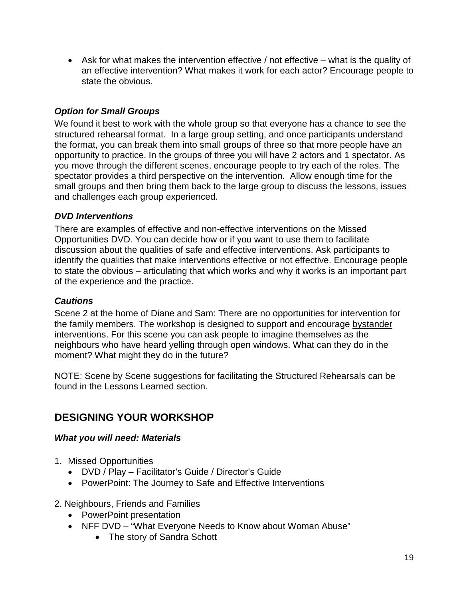• Ask for what makes the intervention effective / not effective – what is the quality of an effective intervention? What makes it work for each actor? Encourage people to state the obvious.

#### *Option for Small Groups*

We found it best to work with the whole group so that everyone has a chance to see the structured rehearsal format. In a large group setting, and once participants understand the format, you can break them into small groups of three so that more people have an opportunity to practice. In the groups of three you will have 2 actors and 1 spectator. As you move through the different scenes, encourage people to try each of the roles. The spectator provides a third perspective on the intervention. Allow enough time for the small groups and then bring them back to the large group to discuss the lessons, issues and challenges each group experienced.

#### *DVD Interventions*

There are examples of effective and non-effective interventions on the Missed Opportunities DVD. You can decide how or if you want to use them to facilitate discussion about the qualities of safe and effective interventions. Ask participants to identify the qualities that make interventions effective or not effective. Encourage people to state the obvious – articulating that which works and why it works is an important part of the experience and the practice.

#### *Cautions*

Scene 2 at the home of Diane and Sam: There are no opportunities for intervention for the family members. The workshop is designed to support and encourage bystander interventions. For this scene you can ask people to imagine themselves as the neighbours who have heard yelling through open windows. What can they do in the moment? What might they do in the future?

NOTE: Scene by Scene suggestions for facilitating the Structured Rehearsals can be found in the Lessons Learned section.

# <span id="page-18-0"></span>**DESIGNING YOUR WORKSHOP**

#### <span id="page-18-1"></span>*What you will need: Materials*

- 1. Missed Opportunities
	- DVD / Play Facilitator's Guide / Director's Guide
	- PowerPoint: The Journey to Safe and Effective Interventions
- 2. Neighbours, Friends and Families
	- PowerPoint presentation
	- NFF DVD "What Everyone Needs to Know about Woman Abuse"
		- The story of Sandra Schott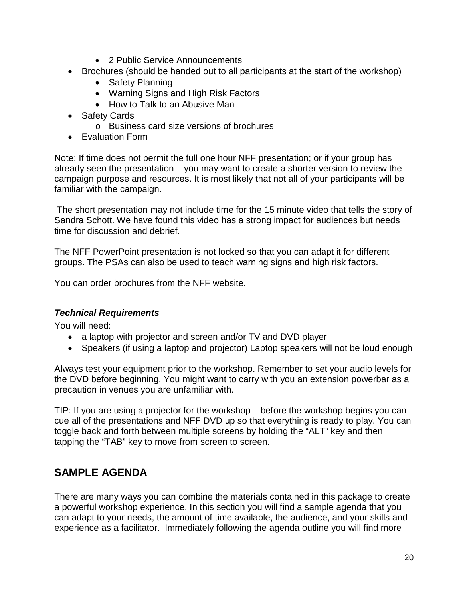- 2 Public Service Announcements
- Brochures (should be handed out to all participants at the start of the workshop)
	- Safety Planning
	- Warning Signs and High Risk Factors
	- How to Talk to an Abusive Man
- Safety Cards
	- o Business card size versions of brochures
- Evaluation Form

Note: If time does not permit the full one hour NFF presentation; or if your group has already seen the presentation – you may want to create a shorter version to review the campaign purpose and resources. It is most likely that not all of your participants will be familiar with the campaign.

The short presentation may not include time for the 15 minute video that tells the story of Sandra Schott. We have found this video has a strong impact for audiences but needs time for discussion and debrief.

The NFF PowerPoint presentation is not locked so that you can adapt it for different groups. The PSAs can also be used to teach warning signs and high risk factors.

You can order brochures from the NFF website.

#### <span id="page-19-0"></span>*Technical Requirements*

You will need:

- a laptop with projector and screen and/or TV and DVD player
- Speakers (if using a laptop and projector) Laptop speakers will not be loud enough

Always test your equipment prior to the workshop. Remember to set your audio levels for the DVD before beginning. You might want to carry with you an extension powerbar as a precaution in venues you are unfamiliar with.

TIP: If you are using a projector for the workshop – before the workshop begins you can cue all of the presentations and NFF DVD up so that everything is ready to play. You can toggle back and forth between multiple screens by holding the "ALT" key and then tapping the "TAB" key to move from screen to screen.

### <span id="page-19-1"></span>**SAMPLE AGENDA**

There are many ways you can combine the materials contained in this package to create a powerful workshop experience. In this section you will find a sample agenda that you can adapt to your needs, the amount of time available, the audience, and your skills and experience as a facilitator. Immediately following the agenda outline you will find more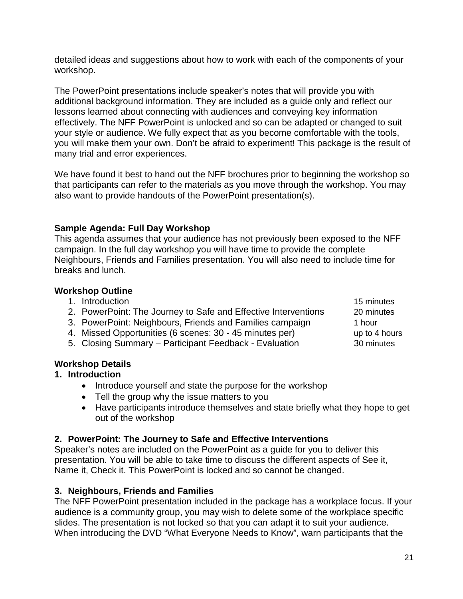detailed ideas and suggestions about how to work with each of the components of your workshop.

The PowerPoint presentations include speaker's notes that will provide you with additional background information. They are included as a guide only and reflect our lessons learned about connecting with audiences and conveying key information effectively. The NFF PowerPoint is unlocked and so can be adapted or changed to suit your style or audience. We fully expect that as you become comfortable with the tools, you will make them your own. Don't be afraid to experiment! This package is the result of many trial and error experiences.

We have found it best to hand out the NFF brochures prior to beginning the workshop so that participants can refer to the materials as you move through the workshop. You may also want to provide handouts of the PowerPoint presentation(s).

#### **Sample Agenda: Full Day Workshop**

This agenda assumes that your audience has not previously been exposed to the NFF campaign. In the full day workshop you will have time to provide the complete Neighbours, Friends and Families presentation. You will also need to include time for breaks and lunch.

#### **Workshop Outline**

- 1. Introduction **15 minutes** 15 minutes
- 2. PowerPoint: The Journey to Safe and Effective Interventions 20 minutes
- 3. PowerPoint: Neighbours, Friends and Families campaign 1 hour
- 4. Missed Opportunities (6 scenes: 30 45 minutes per) up to 4 hours
- 5. Closing Summary Participant Feedback Evaluation 30 minutes

#### **Workshop Details**

#### **1. Introduction**

- Introduce yourself and state the purpose for the workshop
- Tell the group why the issue matters to you
- Have participants introduce themselves and state briefly what they hope to get out of the workshop

#### **2. PowerPoint: The Journey to Safe and Effective Interventions**

Speaker's notes are included on the PowerPoint as a guide for you to deliver this presentation. You will be able to take time to discuss the different aspects of See it, Name it, Check it. This PowerPoint is locked and so cannot be changed.

#### **3. Neighbours, Friends and Families**

The NFF PowerPoint presentation included in the package has a workplace focus. If your audience is a community group, you may wish to delete some of the workplace specific slides. The presentation is not locked so that you can adapt it to suit your audience. When introducing the DVD "What Everyone Needs to Know", warn participants that the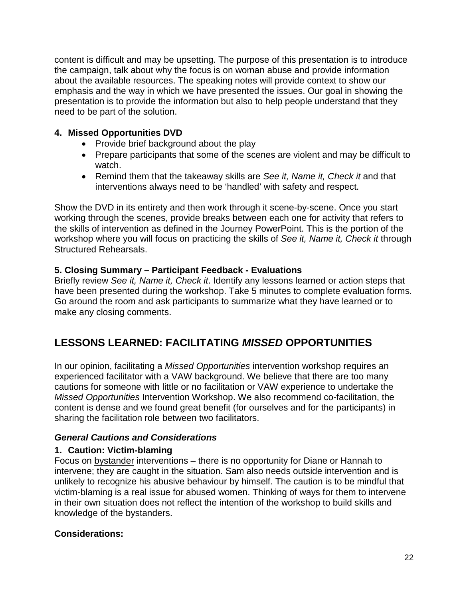content is difficult and may be upsetting. The purpose of this presentation is to introduce the campaign, talk about why the focus is on woman abuse and provide information about the available resources. The speaking notes will provide context to show our emphasis and the way in which we have presented the issues. Our goal in showing the presentation is to provide the information but also to help people understand that they need to be part of the solution.

#### **4. Missed Opportunities DVD**

- Provide brief background about the play
- Prepare participants that some of the scenes are violent and may be difficult to watch.
- Remind them that the takeaway skills are *See it, Name it, Check it* and that interventions always need to be 'handled' with safety and respect.

Show the DVD in its entirety and then work through it scene-by-scene. Once you start working through the scenes, provide breaks between each one for activity that refers to the skills of intervention as defined in the Journey PowerPoint. This is the portion of the workshop where you will focus on practicing the skills of *See it, Name it, Check it* through Structured Rehearsals.

#### **5. Closing Summary – Participant Feedback - Evaluations**

Briefly review *See it, Name it, Check it*. Identify any lessons learned or action steps that have been presented during the workshop. Take 5 minutes to complete evaluation forms. Go around the room and ask participants to summarize what they have learned or to make any closing comments.

# <span id="page-21-0"></span>**LESSONS LEARNED: FACILITATING** *MISSED* **OPPORTUNITIES**

In our opinion, facilitating a *Missed Opportunities* intervention workshop requires an experienced facilitator with a VAW background. We believe that there are too many cautions for someone with little or no facilitation or VAW experience to undertake the *Missed Opportunities* Intervention Workshop. We also recommend co-facilitation, the content is dense and we found great benefit (for ourselves and for the participants) in sharing the facilitation role between two facilitators.

#### <span id="page-21-1"></span>*General Cautions and Considerations*

#### **1. Caution: Victim-blaming**

Focus on bystander interventions – there is no opportunity for Diane or Hannah to intervene; they are caught in the situation. Sam also needs outside intervention and is unlikely to recognize his abusive behaviour by himself. The caution is to be mindful that victim-blaming is a real issue for abused women. Thinking of ways for them to intervene in their own situation does not reflect the intention of the workshop to build skills and knowledge of the bystanders.

#### **Considerations:**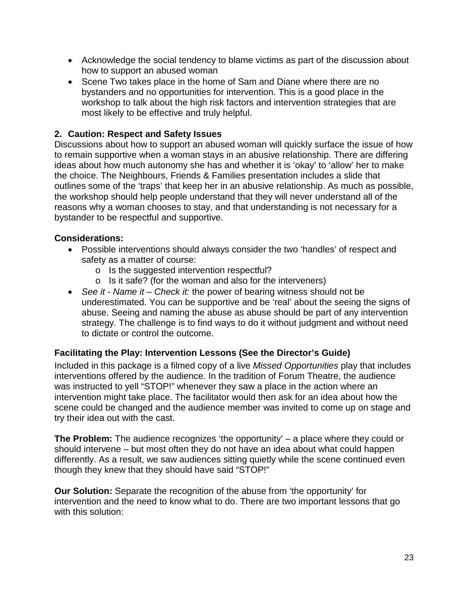- Acknowledge the social tendency to blame victims as part of the discussion about how to support an abused woman
- Scene Two takes place in the home of Sam and Diane where there are no bystanders and no opportunities for intervention. This is a good place in the workshop to talk about the high risk factors and intervention strategies that are most likely to be effective and truly helpful.

#### **2. Caution: Respect and Safety Issues**

Discussions about how to support an abused woman will quickly surface the issue of how to remain supportive when a woman stays in an abusive relationship. There are differing ideas about how much autonomy she has and whether it is 'okay' to 'allow' her to make the choice. The Neighbours, Friends & Families presentation includes a slide that outlines some of the 'traps' that keep her in an abusive relationship. As much as possible, the workshop should help people understand that they will never understand all of the reasons why a woman chooses to stay, and that understanding is not necessary for a bystander to be respectful and supportive.

#### **Considerations:**

- Possible interventions should always consider the two 'handles' of respect and safety as a matter of course:
	- o Is the suggested intervention respectful?
	- o Is it safe? (for the woman and also for the interveners)
- *See it - Name it – Check it:* the power of bearing witness should not be underestimated. You can be supportive and be 'real' about the seeing the signs of abuse. Seeing and naming the abuse as abuse should be part of any intervention strategy. The challenge is to find ways to do it without judgment and without need to dictate or control the outcome.

#### **Facilitating the Play: Intervention Lessons (See the Director's Guide)**

Included in this package is a filmed copy of a live *Missed Opportunities* play that includes interventions offered by the audience. In the tradition of Forum Theatre, the audience was instructed to yell "STOP!" whenever they saw a place in the action where an intervention might take place. The facilitator would then ask for an idea about how the scene could be changed and the audience member was invited to come up on stage and try their idea out with the cast.

**The Problem:** The audience recognizes 'the opportunity' – a place where they could or should intervene – but most often they do not have an idea about what could happen differently. As a result, we saw audiences sitting quietly while the scene continued even though they knew that they should have said "STOP!"

**Our Solution:** Separate the recognition of the abuse from 'the opportunity' for intervention and the need to know what to do. There are two important lessons that go with this solution: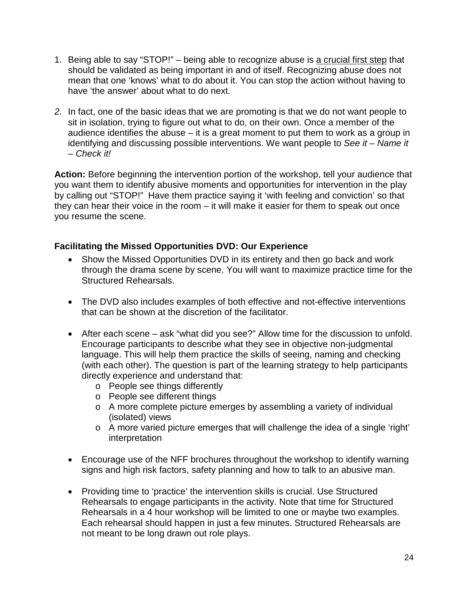- 1. Being able to say "STOP!" being able to recognize abuse is a crucial first step that should be validated as being important in and of itself. Recognizing abuse does not mean that one 'knows' what to do about it. You can stop the action without having to have 'the answer' about what to do next.
- *2.* In fact, one of the basic ideas that we are promoting is that we do not want people to sit in isolation, trying to figure out what to do, on their own. Once a member of the audience identifies the abuse – it is a great moment to put them to work as a group in identifying and discussing possible interventions. We want people to *See it – Name it – Check it!*

**Action:** Before beginning the intervention portion of the workshop, tell your audience that you want them to identify abusive moments and opportunities for intervention in the play by calling out "STOP!" Have them practice saying it 'with feeling and conviction' so that they can hear their voice in the room – it will make it easier for them to speak out once you resume the scene.

#### **Facilitating the Missed Opportunities DVD: Our Experience**

- Show the Missed Opportunities DVD in its entirety and then go back and work through the drama scene by scene. You will want to maximize practice time for the Structured Rehearsals.
- The DVD also includes examples of both effective and not-effective interventions that can be shown at the discretion of the facilitator.
- After each scene ask "what did you see?" Allow time for the discussion to unfold. Encourage participants to describe what they see in objective non-judgmental language. This will help them practice the skills of seeing, naming and checking (with each other). The question is part of the learning strategy to help participants directly experience and understand that:
	- o People see things differently
	- o People see different things
	- o A more complete picture emerges by assembling a variety of individual (isolated) views
	- o A more varied picture emerges that will challenge the idea of a single 'right' interpretation
- Encourage use of the NFF brochures throughout the workshop to identify warning signs and high risk factors, safety planning and how to talk to an abusive man.
- Providing time to 'practice' the intervention skills is crucial. Use Structured Rehearsals to engage participants in the activity. Note that time for Structured Rehearsals in a 4 hour workshop will be limited to one or maybe two examples. Each rehearsal should happen in just a few minutes. Structured Rehearsals are not meant to be long drawn out role plays.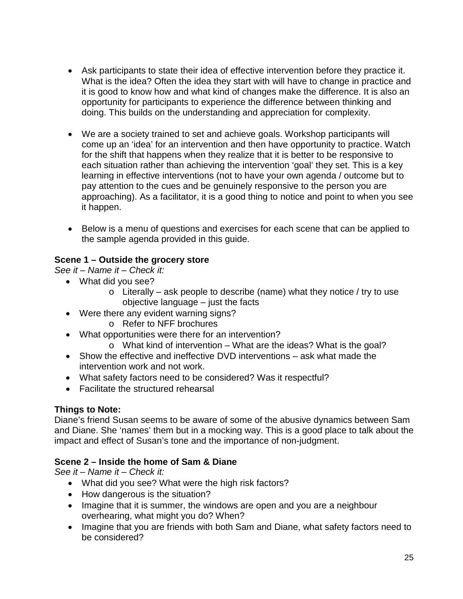- Ask participants to state their idea of effective intervention before they practice it. What is the idea? Often the idea they start with will have to change in practice and it is good to know how and what kind of changes make the difference. It is also an opportunity for participants to experience the difference between thinking and doing. This builds on the understanding and appreciation for complexity.
- We are a society trained to set and achieve goals. Workshop participants will come up an 'idea' for an intervention and then have opportunity to practice. Watch for the shift that happens when they realize that it is better to be responsive to each situation rather than achieving the intervention 'goal' they set. This is a key learning in effective interventions (not to have your own agenda / outcome but to pay attention to the cues and be genuinely responsive to the person you are approaching). As a facilitator, it is a good thing to notice and point to when you see it happen.
- Below is a menu of questions and exercises for each scene that can be applied to the sample agenda provided in this guide.

#### **Scene 1 – Outside the grocery store**

*See it – Name it – Check it:*

- What did you see?
	- $\circ$  Literally ask people to describe (name) what they notice / try to use objective language – just the facts
- Were there any evident warning signs?
	- o Refer to NFF brochures
- What opportunities were there for an intervention?
	- o What kind of intervention What are the ideas? What is the goal?
- Show the effective and ineffective DVD interventions ask what made the intervention work and not work.
- What safety factors need to be considered? Was it respectful?
- Facilitate the structured rehearsal

#### **Things to Note:**

Diane's friend Susan seems to be aware of some of the abusive dynamics between Sam and Diane. She 'names' them but in a mocking way. This is a good place to talk about the impact and effect of Susan's tone and the importance of non-judgment.

#### **Scene 2 – Inside the home of Sam & Diane**

*See it – Name it – Check it:*

- What did you see? What were the high risk factors?
- How dangerous is the situation?
- Imagine that it is summer, the windows are open and you are a neighbour overhearing, what might you do? When?
- Imagine that you are friends with both Sam and Diane, what safety factors need to be considered?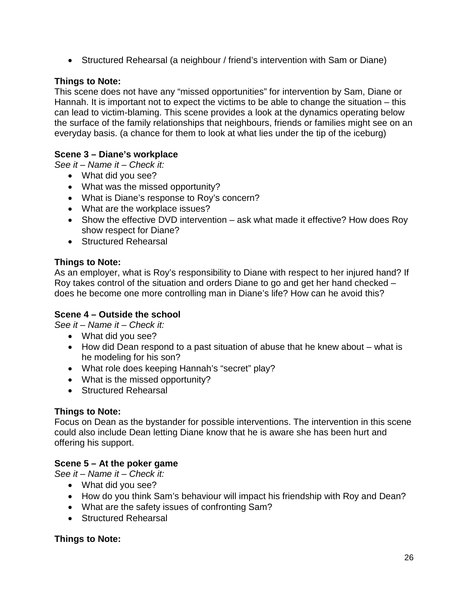• Structured Rehearsal (a neighbour / friend's intervention with Sam or Diane)

#### **Things to Note:**

This scene does not have any "missed opportunities" for intervention by Sam, Diane or Hannah. It is important not to expect the victims to be able to change the situation – this can lead to victim-blaming. This scene provides a look at the dynamics operating below the surface of the family relationships that neighbours, friends or families might see on an everyday basis. (a chance for them to look at what lies under the tip of the iceburg)

#### **Scene 3 – Diane's workplace**

*See it – Name it – Check it:*

- What did you see?
- What was the missed opportunity?
- What is Diane's response to Roy's concern?
- What are the workplace issues?
- Show the effective DVD intervention ask what made it effective? How does Roy show respect for Diane?
- Structured Rehearsal

#### **Things to Note:**

As an employer, what is Roy's responsibility to Diane with respect to her injured hand? If Roy takes control of the situation and orders Diane to go and get her hand checked – does he become one more controlling man in Diane's life? How can he avoid this?

#### **Scene 4 – Outside the school**

*See it – Name it – Check it:*

- What did you see?
- How did Dean respond to a past situation of abuse that he knew about what is he modeling for his son?
- What role does keeping Hannah's "secret" play?
- What is the missed opportunity?
- Structured Rehearsal

#### **Things to Note:**

Focus on Dean as the bystander for possible interventions. The intervention in this scene could also include Dean letting Diane know that he is aware she has been hurt and offering his support.

#### **Scene 5 – At the poker game**

*See it – Name it – Check it:*

- What did you see?
- How do you think Sam's behaviour will impact his friendship with Roy and Dean?
- What are the safety issues of confronting Sam?
- Structured Rehearsal

#### **Things to Note:**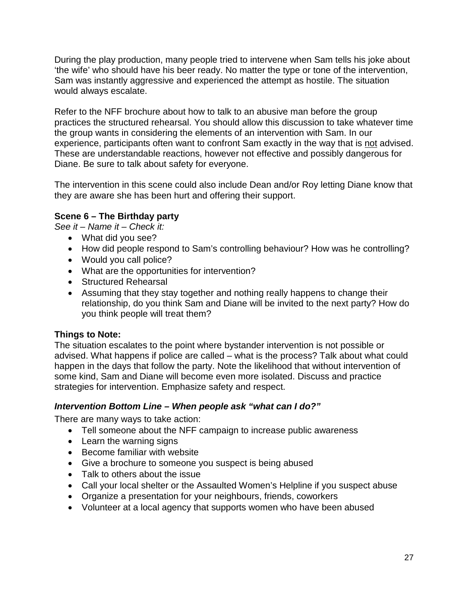During the play production, many people tried to intervene when Sam tells his joke about 'the wife' who should have his beer ready. No matter the type or tone of the intervention, Sam was instantly aggressive and experienced the attempt as hostile. The situation would always escalate.

Refer to the NFF brochure about how to talk to an abusive man before the group practices the structured rehearsal. You should allow this discussion to take whatever time the group wants in considering the elements of an intervention with Sam. In our experience, participants often want to confront Sam exactly in the way that is not advised. These are understandable reactions, however not effective and possibly dangerous for Diane. Be sure to talk about safety for everyone.

The intervention in this scene could also include Dean and/or Roy letting Diane know that they are aware she has been hurt and offering their support.

#### **Scene 6 – The Birthday party**

*See it – Name it – Check it:*

- What did you see?
- How did people respond to Sam's controlling behaviour? How was he controlling?
- Would you call police?
- What are the opportunities for intervention?
- Structured Rehearsal
- Assuming that they stay together and nothing really happens to change their relationship, do you think Sam and Diane will be invited to the next party? How do you think people will treat them?

#### **Things to Note:**

The situation escalates to the point where bystander intervention is not possible or advised. What happens if police are called – what is the process? Talk about what could happen in the days that follow the party. Note the likelihood that without intervention of some kind, Sam and Diane will become even more isolated. Discuss and practice strategies for intervention. Emphasize safety and respect.

#### *Intervention Bottom Line – When people ask "what can I do?"*

There are many ways to take action:

- Tell someone about the NFF campaign to increase public awareness
- Learn the warning signs
- Become familiar with website
- Give a brochure to someone you suspect is being abused
- Talk to others about the issue
- Call your local shelter or the Assaulted Women's Helpline if you suspect abuse
- Organize a presentation for your neighbours, friends, coworkers
- Volunteer at a local agency that supports women who have been abused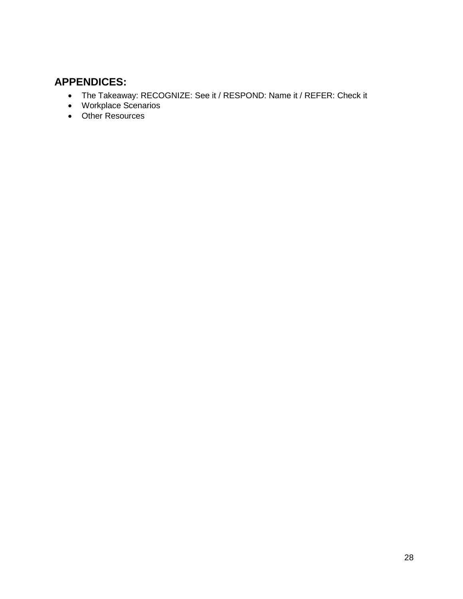# <span id="page-27-0"></span>**APPENDICES:**

- The Takeaway: RECOGNIZE: See it / RESPOND: Name it / REFER: Check it
- Workplace Scenarios
- Other Resources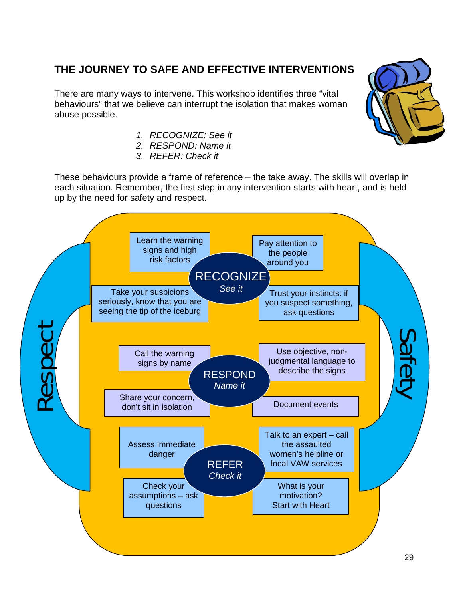# <span id="page-28-0"></span>**THE JOURNEY TO SAFE AND EFFECTIVE INTERVENTIONS**

There are many ways to intervene. This workshop identifies three "vital behaviours" that we believe can interrupt the isolation that makes woman abuse possible.

- *1. RECOGNIZE: See it*
- *2. RESPOND: Name it*
- *3. REFER: Check it*

These behaviours provide a frame of reference – the take away. The skills will overlap in each situation. Remember, the first step in any intervention starts with heart, and is held up by the need for safety and respect.



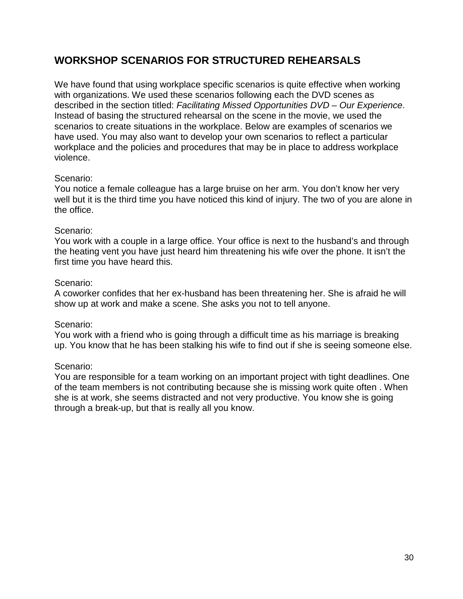## <span id="page-29-0"></span>**WORKSHOP SCENARIOS FOR STRUCTURED REHEARSALS**

We have found that using workplace specific scenarios is quite effective when working with organizations. We used these scenarios following each the DVD scenes as described in the section titled: *Facilitating Missed Opportunities DVD – Our Experience*. Instead of basing the structured rehearsal on the scene in the movie, we used the scenarios to create situations in the workplace. Below are examples of scenarios we have used. You may also want to develop your own scenarios to reflect a particular workplace and the policies and procedures that may be in place to address workplace violence.

#### Scenario:

You notice a female colleague has a large bruise on her arm. You don't know her very well but it is the third time you have noticed this kind of injury. The two of you are alone in the office.

#### Scenario:

You work with a couple in a large office. Your office is next to the husband's and through the heating vent you have just heard him threatening his wife over the phone. It isn't the first time you have heard this.

#### Scenario:

A coworker confides that her ex-husband has been threatening her. She is afraid he will show up at work and make a scene. She asks you not to tell anyone.

#### Scenario:

You work with a friend who is going through a difficult time as his marriage is breaking up. You know that he has been stalking his wife to find out if she is seeing someone else.

#### Scenario:

You are responsible for a team working on an important project with tight deadlines. One of the team members is not contributing because she is missing work quite often . When she is at work, she seems distracted and not very productive. You know she is going through a break-up, but that is really all you know.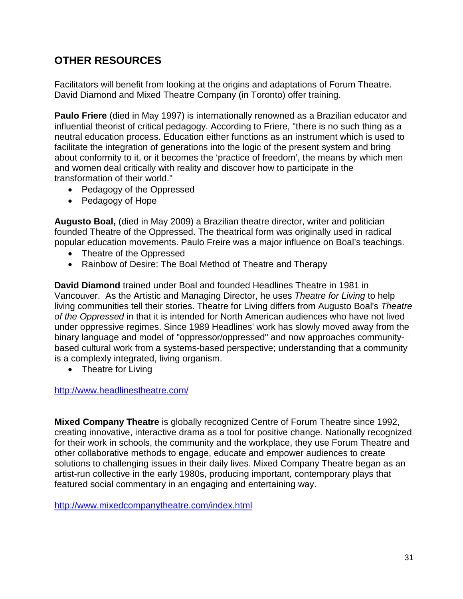# <span id="page-30-0"></span>**OTHER RESOURCES**

Facilitators will benefit from looking at the origins and adaptations of Forum Theatre. David Diamond and Mixed Theatre Company (in Toronto) offer training.

**Paulo Friere** (died in May 1997) is internationally renowned as a Brazilian educator and influential theorist of critical pedagogy. According to Friere, "there is no such thing as a neutral education process. Education either functions as an instrument which is used to facilitate the integration of generations into the logic of the present system and bring about conformity to it, or it becomes the 'practice of freedom', the means by which men and women deal critically with reality and discover how to participate in the transformation of their world."

- Pedagogy of the Oppressed
- Pedagogy of Hope

**Augusto Boal,** (died in May 2009) a Brazilian theatre director, writer and politician founded Theatre of the Oppressed. The theatrical form was originally used in radical popular education movements. Paulo Freire was a major influence on Boal's teachings.

- Theatre of the Oppressed
- Rainbow of Desire: The Boal Method of Theatre and Therapy

**David Diamond** trained under Boal and founded Headlines Theatre in 1981 in Vancouver. As the Artistic and Managing Director, he uses *Theatre for Living* to help living communities tell their stories. Theatre for Living differs from Augusto Boal's *Theatre of the Oppressed* in that it is intended for North American audiences who have not lived under oppressive regimes. Since 1989 Headlines' work has slowly moved away from the binary language and model of "oppressor/oppressed" and now approaches communitybased cultural work from a systems-based perspective; understanding that a community is a complexly integrated, living organism.

• Theatre for Living

#### <http://www.headlinestheatre.com/>

**Mixed Company Theatre** is globally recognized Centre of Forum Theatre since 1992, creating innovative, interactive drama as a tool for positive change. Nationally recognized for their work in schools, the community and the workplace, they use Forum Theatre and other collaborative methods to engage, educate and empower audiences to create solutions to challenging issues in their daily lives. Mixed Company Theatre began as an artist-run collective in the early 1980s, producing important, contemporary plays that featured social commentary in an engaging and entertaining way.

<http://www.mixedcompanytheatre.com/index.html>